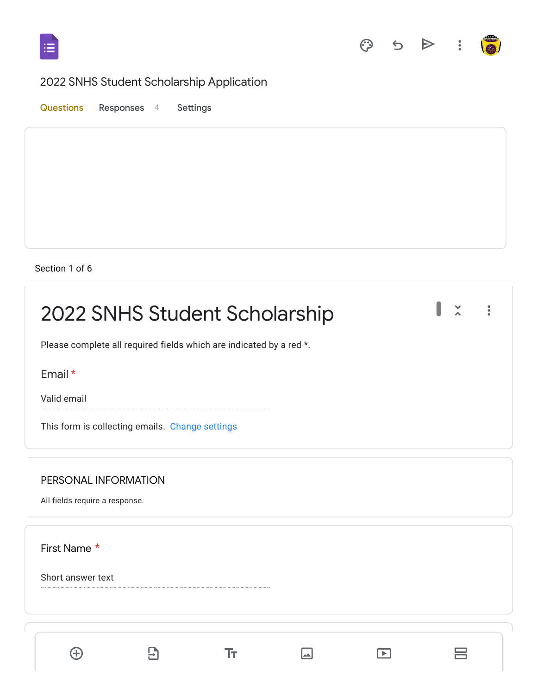



 $\equiv$ 

 $\hfill \square$ 

# 2022 SNHS Student Scholarship Application

Questions Responses 4 Settings

#### Section 1 of 6

 $\bigoplus$ 

 $\Xi$ 

 $\rm Tr$ 

| 2022 SNHS Student Scholarship                                       | $\ddot{\phantom{a}}$ |
|---------------------------------------------------------------------|----------------------|
| Please complete all required fields which are indicated by a red *. |                      |
| Email *                                                             |                      |
| Valid email                                                         |                      |
| This form is collecting emails. Change settings                     |                      |
| PERSONAL INFORMATION                                                |                      |
| All fields require a response.                                      |                      |
| First Name *                                                        |                      |
| Short answer text                                                   |                      |
|                                                                     |                      |
|                                                                     |                      |

 $\Box$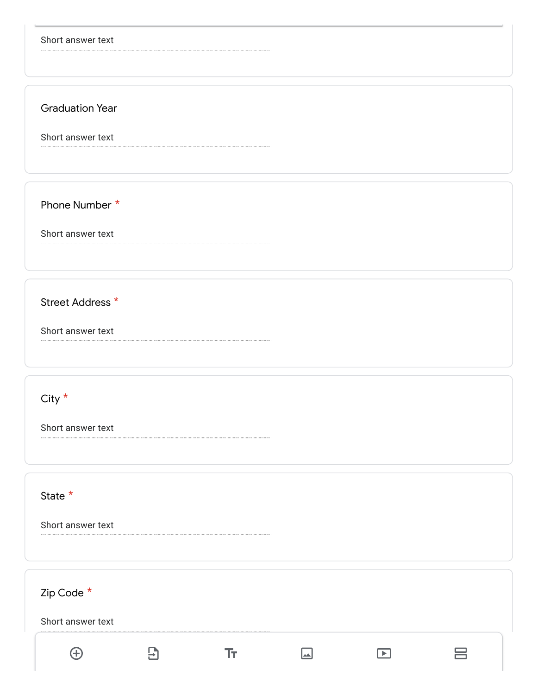| Short answer text      |                  |     |                       |   |
|------------------------|------------------|-----|-----------------------|---|
| <b>Graduation Year</b> |                  |     |                       |   |
| Short answer text      |                  |     |                       |   |
| Phone Number *         |                  |     |                       |   |
| Short answer text      |                  |     |                       |   |
| Street Address *       |                  |     |                       |   |
| Short answer text      |                  |     |                       |   |
| City $*$               |                  |     |                       |   |
| Short answer text      |                  |     |                       |   |
| State $*$              |                  |     |                       |   |
| Short answer text      |                  |     |                       |   |
| Zip Code *             |                  |     |                       |   |
| Short answer text      |                  |     |                       |   |
| $\bigoplus$            | $\overline{\Xi}$ | Tт, | $\blacktriangleright$ | 吕 |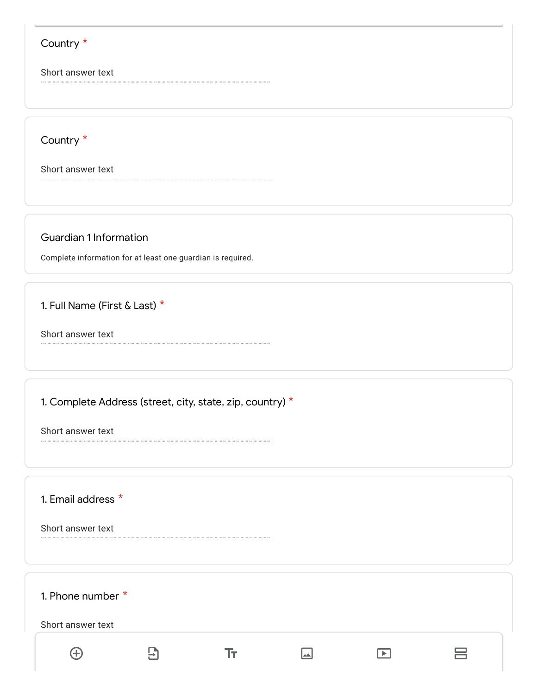#### Country \*

Short answer text

Country \*

Short answer text

Guardian 1 Information

Complete information for at least one guardian is required.

1. Full Name (First & Last) \*

Short answer text

1. Complete Address (street, city, state, zip, country)  $*$ 

Short answer text

1. Email address \*

Short answer text

1. Phone number \* Short answer text  $\bigoplus$  $\mathbf{E}$  $\boxed{\color{blue}\blacksquare}$  $\boxed{\blacktriangleright}$ 吕 Tт.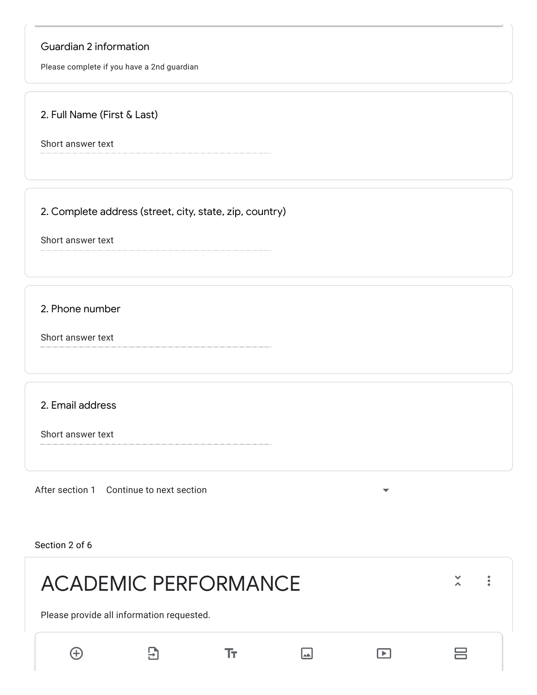# Guardian 2 information

Please complete if you have a 2nd guardian

### 2. Full Name (First & Last)

Short answer text

2. Complete address (street, city, state, zip, country)

Short answer text

2. Phone number

Short answer text

2. Email address

Short answer text

After section 1 Continue to next section

Section 2 of 6

| <b>ACADEMIC PERFORMANCE</b>               |    |    |       |     |   |  |
|-------------------------------------------|----|----|-------|-----|---|--|
| Please provide all information requested. |    |    |       |     |   |  |
| {+}                                       | ר→ | Iт | المدا | ∣▶∣ | ⊨ |  |

 $\overline{\phantom{0}}$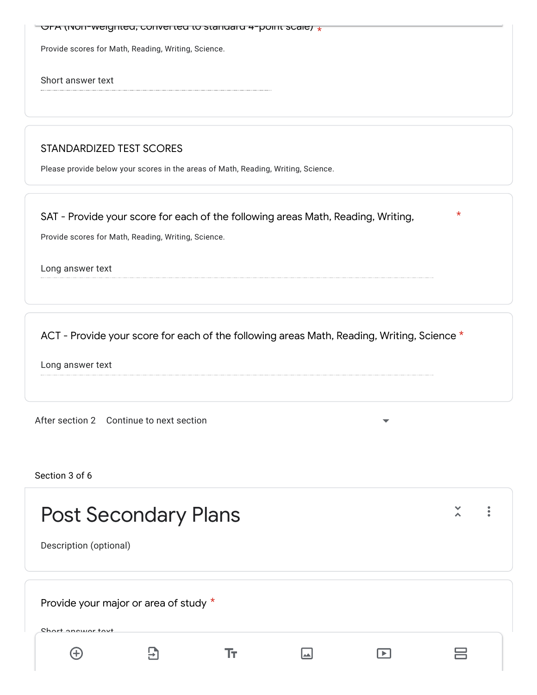| $\sim$ OrA (ivori-weighted, converted to standard 4-point scale) $\star$ |  |
|--------------------------------------------------------------------------|--|
| Provide scores for Math, Reading, Writing, Science.                      |  |
| Short answer text                                                        |  |
|                                                                          |  |
|                                                                          |  |

\*

#### STANDARDIZED TEST SCORES

Please provide below your scores in the areas of Math, Reading, Writing, Science.

SAT - Provide your score for each of the following areas Math, Reading, Writing,

Provide scores for Math, Reading, Writing, Science.

Long answer text

ACT - Provide your score for each of the following areas Math, Reading, Writing, Science  $^\star$ 

Long answer text

After section 2 Continue to next section

Section 3 of 6

| <b>Post Secondary Plans</b><br>Description (optional)      |  |  |  |  |  |  |
|------------------------------------------------------------|--|--|--|--|--|--|
| Provide your major or area of study *<br>Chart anower tout |  |  |  |  |  |  |
|                                                            |  |  |  |  |  |  |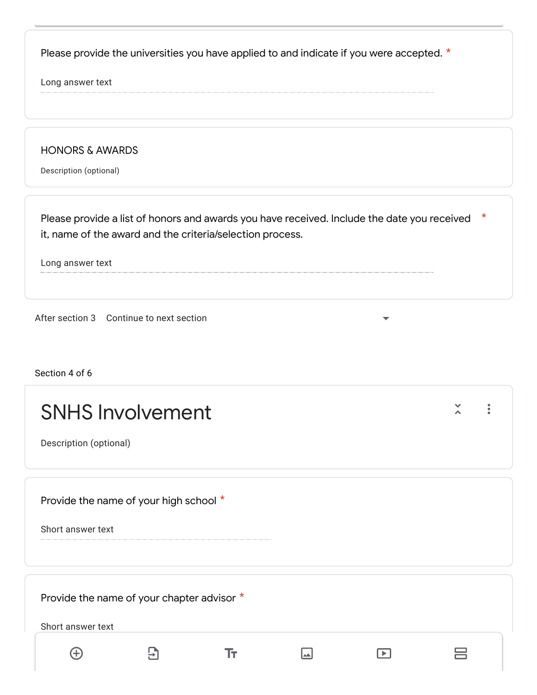Please provide the universities you have applied to and indicate if you were accepted.  $*$ 

Long answer text

HONORS & AWARDS

Description (optional)

\* Please provide a list of honors and awards you have received. Include the date you received it, name of the award and the criteria/selection process.

Long answer text

After section 3 Continue to next section

Section 4 of 6

| <b>SNHS Involvement</b><br>Description (optional)               |  |  |  |
|-----------------------------------------------------------------|--|--|--|
| Provide the name of your high school *<br>Short answer text     |  |  |  |
| Provide the name of your chapter advisor *<br>Short answer text |  |  |  |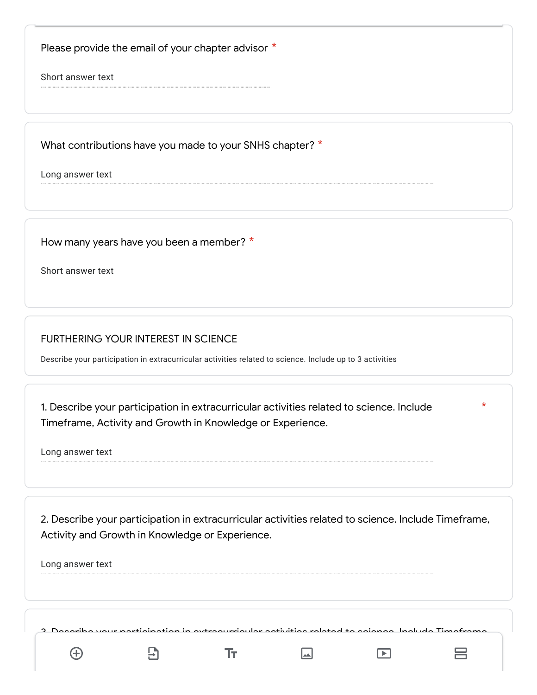Please provide the email of your chapter advisor  $*$ 

Short answer text

What contributions have you made to your SNHS chapter?  $^\star$ 

Long answer text

How many years have you been a member? \*

Short answer text

# FURTHERING YOUR INTEREST IN SCIENCE

Describe your participation in extracurricular activities related to science. Include up to 3 activities

1. Describe your participation in extracurricular activities related to science. Include Timeframe, Activity and Growth in Knowledge or Experience.

Long answer text

2. Describe your participation in extracurricular activities related to science. Include Timeframe, Activity and Growth in Knowledge or Experience.

\*

吕

 $\boxed{\blacktriangleright}$ 

Long answer text

aribe your participation in extracurricular activities related to science. Include Timeframe, Activity and Growth in Knowledge or Experience.

 $\Box$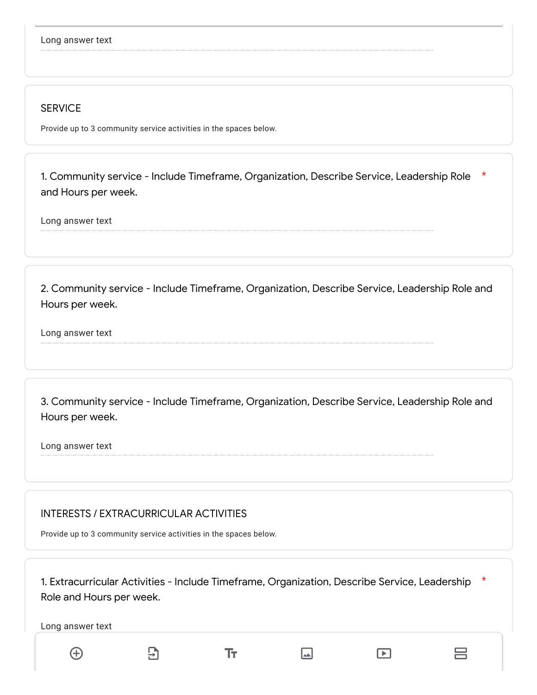#### **SERVICE**

Provide up to 3 community service activities in the spaces below.

\* 1. Community service - Include Timeframe, Organization, Describe Service, Leadership Role and Hours per week.

Long answer text

2. Community service - Include Timeframe, Organization, Describe Service, Leadership Role and Hours per week.

Long answer text

3. Community service - Include Timeframe, Organization, Describe Service, Leadership Role and Hours per week.

Long answer text

#### INTERESTS / EXTRACURRICULAR ACTIVITIES

Provide up to 3 community service activities in the spaces below.

1. Extracurricular Activities - Include Timeframe, Organization, Describe Service, Leadership \* Role and Hours per week.Long answer text РÌ 吕  $\bigoplus$ Τт  $\Box$  $\Box$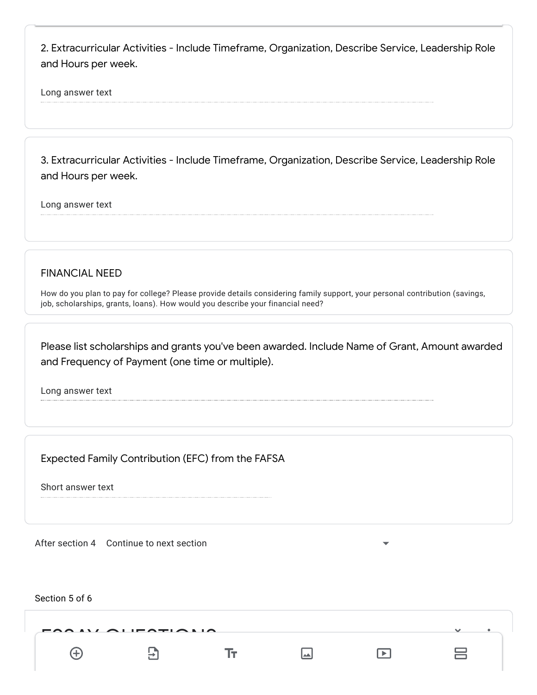2. Extracurricular Activities - Include Timeframe, Organization, Describe Service, Leadership Role and Hours per week.

Long answer text

3. Extracurricular Activities - Include Timeframe, Organization, Describe Service, Leadership Role and Hours per week.

Long answer text

FINANCIAL NEED

How do you plan to pay for college? Please provide details considering family support, your personal contribution (savings, job, scholarships, grants, loans). How would you describe your financial need?

Please list scholarships and grants you've been awarded. Include Name of Grant, Amount awarded and Frequency of Payment (one time or multiple).

Long answer text

Expected Family Contribution (EFC) from the FAFSA

Short answer text

After section 4 Continue to next section

Section 5 of 6  $\overline{a}$ 吕 Tт  $\Box$  $\Box$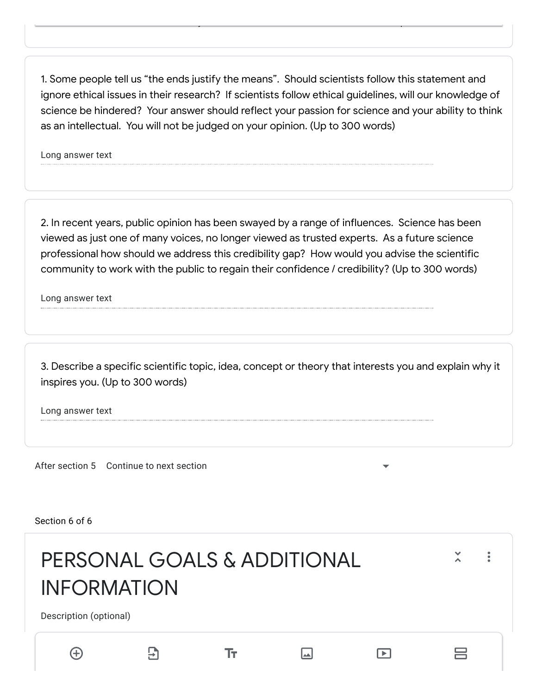1. Some people tell us "the ends justify the means". Should scientists follow this statement and ignore ethical issues in their research? If scientists follow ethical guidelines, will our knowledge of science be hindered? Your answer should reflect your passion for science and your ability to think as an intellectual. You will not be judged on your opinion. (Up to 300 words)

Please choose at least 2 of 3 the essays below to answer. A maximum of 300 words is permitted.

Long answer text

2. In recent years, public opinion has been swayed by a range of influences. Science has been viewed as just one of many voices, no longer viewed as trusted experts. As a future science professional how should we address this credibility gap? How would you advise the scientific community to work with the public to regain their confidence / credibility? (Up to 300 words)

Long answer text

3. Describe a specific scientific topic, idea, concept or theory that interests you and explain why it inspires you. (Up to 300 words)

Long answer text

After section 5 Continue to next section

Section 6 of 6

| PERSONAL GOALS & ADDITIONAL<br><b>INFORMATION</b> |    |    |       |     |   |  |
|---------------------------------------------------|----|----|-------|-----|---|--|
| Description (optional)                            |    |    |       |     |   |  |
| $(+)$                                             | ר⊹ | Iт | المدا | ∣►∣ | 吕 |  |